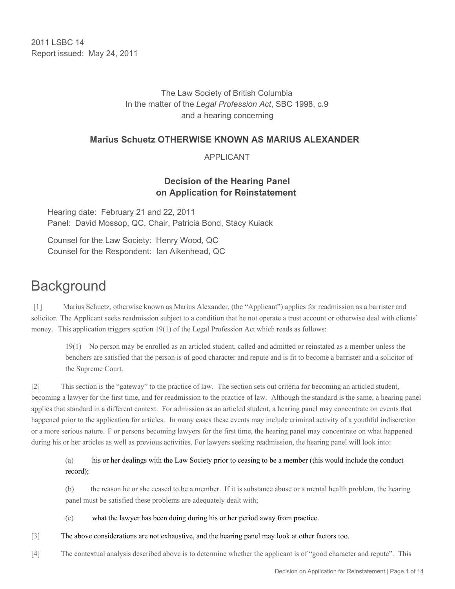2011 I SBC 14 Report issued: May 24, 2011

> The Law Society of British Columbia In the matter of the *Legal Profession Act*, SBC 1998, c.9 and a hearing concerning

# **Marius Schuetz OTHERWISE KNOWN AS MARIUS ALEXANDER**

APPLICANT

# **Decision of the Hearing Panel on Application for Reinstatement**

Hearing date: February 21 and 22, 2011 Panel: David Mossop, QC, Chair, Patricia Bond, Stacy Kuiack

Counsel for the Law Society: Henry Wood, QC Counsel for the Respondent: Ian Aikenhead, QC

# **Background**

[1] Marius Schuetz, otherwise known as Marius Alexander, (the "Applicant") applies for readmission as a barrister and solicitor. The Applicant seeks readmission subject to a condition that he not operate a trust account or otherwise deal with clients' money. This application triggers section 19(1) of the Legal Profession Act which reads as follows:

19(1) No person may be enrolled as an articled student, called and admitted or reinstated as a member unless the benchers are satisfied that the person is of good character and repute and is fit to become a barrister and a solicitor of the Supreme Court.

[2] This section is the "gateway" to the practice of law. The section sets out criteria for becoming an articled student, becoming a lawyer for the first time, and for readmission to the practice of law. Although the standard is the same, a hearing panel applies that standard in a different context. For admission as an articled student, a hearing panel may concentrate on events that happened prior to the application for articles. In many cases these events may include criminal activity of a youthful indiscretion or a more serious nature. F or persons becoming lawyers for the first time, the hearing panel may concentrate on what happened during his or her articles as well as previous activities. For lawyers seeking readmission, the hearing panel will look into:

# (a) his or her dealings with the Law Society prior to ceasing to be a member (this would include the conduct record);

(b) the reason he or she ceased to be a member. If it is substance abuse or a mental health problem, the hearing panel must be satisfied these problems are adequately dealt with;

(c) what the lawyer has been doing during his or her period away from practice.

- [3] The above considerations are not exhaustive, and the hearing panel may look at other factors too.
- [4] The contextual analysis described above is to determine whether the applicant is of "good character and repute". This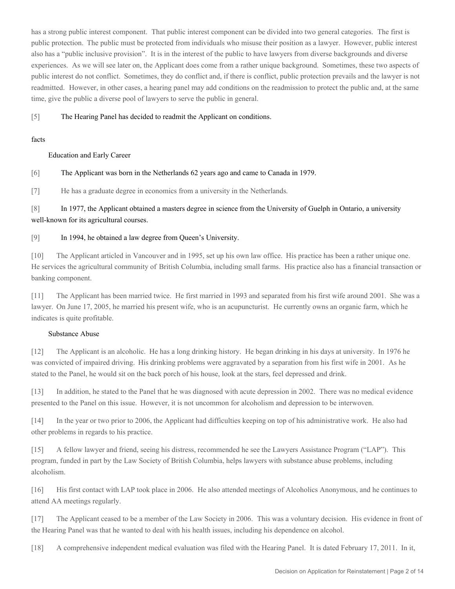has a strong public interest component. That public interest component can be divided into two general categories. The first is public protection. The public must be protected from individuals who misuse their position as a lawyer. However, public interest also has a "public inclusive provision". It is in the interest of the public to have lawyers from diverse backgrounds and diverse experiences. As we will see later on, the Applicant does come from a rather unique background. Sometimes, these two aspects of public interest do not conflict. Sometimes, they do conflict and, if there is conflict, public protection prevails and the lawyer is not readmitted. However, in other cases, a hearing panel may add conditions on the readmission to protect the public and, at the same time, give the public a diverse pool of lawyers to serve the public in general.

## [5] The Hearing Panel has decided to readmit the Applicant on conditions.

#### facts

# Education and Early Career

#### [6] The Applicant was born in the Netherlands 62 years ago and came to Canada in 1979.

[7] He has a graduate degree in economics from a university in the Netherlands.

[8] In 1977, the Applicant obtained a masters degree in science from the University of Guelph in Ontario, a university well-known for its agricultural courses.

#### [9] In 1994, he obtained a law degree from Queen's University.

[10] The Applicant articled in Vancouver and in 1995, set up his own law office. His practice has been a rather unique one. He services the agricultural community of British Columbia, including small farms. His practice also has a financial transaction or banking component.

[11] The Applicant has been married twice. He first married in 1993 and separated from his first wife around 2001. She was a lawyer. On June 17, 2005, he married his present wife, who is an acupuncturist. He currently owns an organic farm, which he indicates is quite profitable.

#### Substance Abuse

[12] The Applicant is an alcoholic. He has a long drinking history. He began drinking in his days at university. In 1976 he was convicted of impaired driving. His drinking problems were aggravated by a separation from his first wife in 2001. As he stated to the Panel, he would sit on the back porch of his house, look at the stars, feel depressed and drink.

[13] In addition, he stated to the Panel that he was diagnosed with acute depression in 2002. There was no medical evidence presented to the Panel on this issue. However, it is not uncommon for alcoholism and depression to be interwoven.

[14] In the year or two prior to 2006, the Applicant had difficulties keeping on top of his administrative work. He also had other problems in regards to his practice.

[15] A fellow lawyer and friend, seeing his distress, recommended he see the Lawyers Assistance Program ("LAP"). This program, funded in part by the Law Society of British Columbia, helps lawyers with substance abuse problems, including alcoholism.

[16] His first contact with LAP took place in 2006. He also attended meetings of Alcoholics Anonymous, and he continues to attend AA meetings regularly.

[17] The Applicant ceased to be a member of the Law Society in 2006. This was a voluntary decision. His evidence in front of the Hearing Panel was that he wanted to deal with his health issues, including his dependence on alcohol.

[18] A comprehensive independent medical evaluation was filed with the Hearing Panel. It is dated February 17, 2011. In it,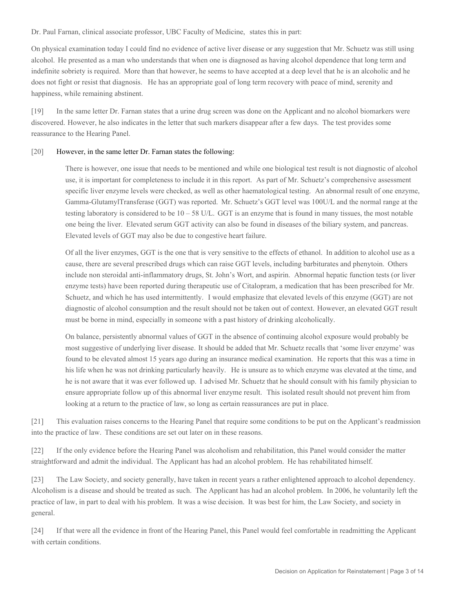Dr. Paul Farnan, clinical associate professor, UBC Faculty of Medicine, states this in part:

On physical examination today I could find no evidence of active liver disease or any suggestion that Mr. Schuetz was still using alcohol. He presented as a man who understands that when one is diagnosed as having alcohol dependence that long term and indefinite sobriety is required. More than that however, he seems to have accepted at a deep level that he is an alcoholic and he does not fight or resist that diagnosis. He has an appropriate goal of long term recovery with peace of mind, serenity and happiness, while remaining abstinent.

[19] In the same letter Dr. Farnan states that a urine drug screen was done on the Applicant and no alcohol biomarkers were discovered. However, he also indicates in the letter that such markers disappear after a few days. The test provides some reassurance to the Hearing Panel.

#### [20] However, in the same letter Dr. Farnan states the following:

There is however, one issue that needs to be mentioned and while one biological test result is not diagnostic of alcohol use, it is important for completeness to include it in this report. As part of Mr. Schuetz's comprehensive assessment specific liver enzyme levels were checked, as well as other haematological testing. An abnormal result of one enzyme, Gamma-GlutamylTransferase (GGT) was reported. Mr. Schuetz's GGT level was 100U/L and the normal range at the testing laboratory is considered to be  $10 - 58$  U/L. GGT is an enzyme that is found in many tissues, the most notable one being the liver. Elevated serum GGT activity can also be found in diseases of the biliary system, and pancreas. Elevated levels of GGT may also be due to congestive heart failure.

Of all the liver enzymes, GGT is the one that is very sensitive to the effects of ethanol. In addition to alcohol use as a cause, there are several prescribed drugs which can raise GGT levels, including barbiturates and phenytoin. Others include non steroidal anti-inflammatory drugs, St. John's Wort, and aspirin. Abnormal hepatic function tests (or liver enzyme tests) have been reported during therapeutic use of Citalopram, a medication that has been prescribed for Mr. Schuetz, and which he has used intermittently. I would emphasize that elevated levels of this enzyme (GGT) are not diagnostic of alcohol consumption and the result should not be taken out of context. However, an elevated GGT result must be borne in mind, especially in someone with a past history of drinking alcoholically.

On balance, persistently abnormal values of GGT in the absence of continuing alcohol exposure would probably be most suggestive of underlying liver disease. It should be added that Mr. Schuetz recalls that 'some liver enzyme' was found to be elevated almost 15 years ago during an insurance medical examination. He reports that this was a time in his life when he was not drinking particularly heavily. He is unsure as to which enzyme was elevated at the time, and he is not aware that it was ever followed up. I advised Mr. Schuetz that he should consult with his family physician to ensure appropriate follow up of this abnormal liver enzyme result. This isolated result should not prevent him from looking at a return to the practice of law, so long as certain reassurances are put in place.

[21] This evaluation raises concerns to the Hearing Panel that require some conditions to be put on the Applicant's readmission into the practice of law. These conditions are set out later on in these reasons.

[22] If the only evidence before the Hearing Panel was alcoholism and rehabilitation, this Panel would consider the matter straightforward and admit the individual. The Applicant has had an alcohol problem. He has rehabilitated himself.

[23] The Law Society, and society generally, have taken in recent years a rather enlightened approach to alcohol dependency. Alcoholism is a disease and should be treated as such. The Applicant has had an alcohol problem. In 2006, he voluntarily left the practice of law, in part to deal with his problem. It was a wise decision. It was best for him, the Law Society, and society in general.

[24] If that were all the evidence in front of the Hearing Panel, this Panel would feel comfortable in readmitting the Applicant with certain conditions.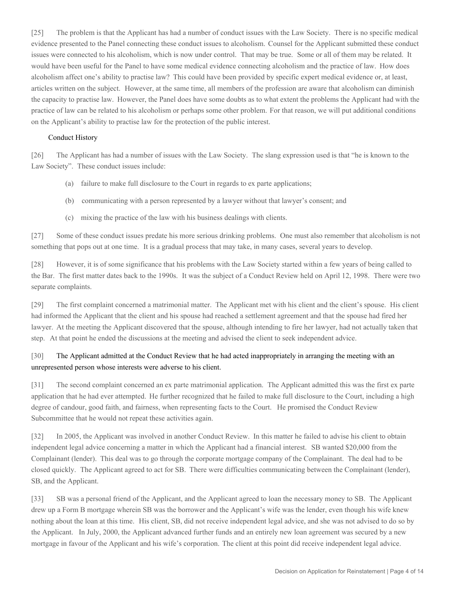[25] The problem is that the Applicant has had a number of conduct issues with the Law Society. There is no specific medical evidence presented to the Panel connecting these conduct issues to alcoholism. Counsel for the Applicant submitted these conduct issues were connected to his alcoholism, which is now under control. That may be true. Some or all of them may be related. It would have been useful for the Panel to have some medical evidence connecting alcoholism and the practice of law. How does alcoholism affect one's ability to practise law? This could have been provided by specific expert medical evidence or, at least, articles written on the subject. However, at the same time, all members of the profession are aware that alcoholism can diminish the capacity to practise law. However, the Panel does have some doubts as to what extent the problems the Applicant had with the practice of law can be related to his alcoholism or perhaps some other problem. For that reason, we will put additional conditions on the Applicant's ability to practise law for the protection of the public interest.

#### Conduct History

[26] The Applicant has had a number of issues with the Law Society. The slang expression used is that "he is known to the Law Society". These conduct issues include:

- (a) failure to make full disclosure to the Court in regards to ex parte applications;
- (b) communicating with a person represented by a lawyer without that lawyer's consent; and
- (c) mixing the practice of the law with his business dealings with clients.

[27] Some of these conduct issues predate his more serious drinking problems. One must also remember that alcoholism is not something that pops out at one time. It is a gradual process that may take, in many cases, several years to develop.

[28] However, it is of some significance that his problems with the Law Society started within a few years of being called to the Bar. The first matter dates back to the 1990s. It was the subject of a Conduct Review held on April 12, 1998. There were two separate complaints.

[29] The first complaint concerned a matrimonial matter. The Applicant met with his client and the client's spouse. His client had informed the Applicant that the client and his spouse had reached a settlement agreement and that the spouse had fired her lawyer. At the meeting the Applicant discovered that the spouse, although intending to fire her lawyer, had not actually taken that step. At that point he ended the discussions at the meeting and advised the client to seek independent advice.

# [30] The Applicant admitted at the Conduct Review that he had acted inappropriately in arranging the meeting with an unrepresented person whose interests were adverse to his client.

[31] The second complaint concerned an ex parte matrimonial application. The Applicant admitted this was the first ex parte application that he had ever attempted. He further recognized that he failed to make full disclosure to the Court, including a high degree of candour, good faith, and fairness, when representing facts to the Court. He promised the Conduct Review Subcommittee that he would not repeat these activities again.

[32] In 2005, the Applicant was involved in another Conduct Review. In this matter he failed to advise his client to obtain independent legal advice concerning a matter in which the Applicant had a financial interest. SB wanted \$20,000 from the Complainant (lender). This deal was to go through the corporate mortgage company of the Complainant. The deal had to be closed quickly. The Applicant agreed to act for SB. There were difficulties communicating between the Complainant (lender), SB, and the Applicant.

[33] SB was a personal friend of the Applicant, and the Applicant agreed to loan the necessary money to SB. The Applicant drew up a Form B mortgage wherein SB was the borrower and the Applicant's wife was the lender, even though his wife knew nothing about the loan at this time. His client, SB, did not receive independent legal advice, and she was not advised to do so by the Applicant. In July, 2000, the Applicant advanced further funds and an entirely new loan agreement was secured by a new mortgage in favour of the Applicant and his wife's corporation. The client at this point did receive independent legal advice.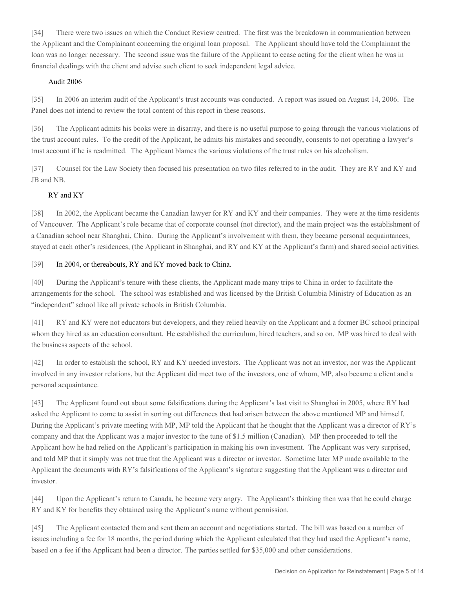[34] There were two issues on which the Conduct Review centred. The first was the breakdown in communication between the Applicant and the Complainant concerning the original loan proposal. The Applicant should have told the Complainant the loan was no longer necessary. The second issue was the failure of the Applicant to cease acting for the client when he was in financial dealings with the client and advise such client to seek independent legal advice.

## Audit 2006

[35] In 2006 an interim audit of the Applicant's trust accounts was conducted. A report was issued on August 14, 2006. The Panel does not intend to review the total content of this report in these reasons.

[36] The Applicant admits his books were in disarray, and there is no useful purpose to going through the various violations of the trust account rules. To the credit of the Applicant, he admits his mistakes and secondly, consents to not operating a lawyer's trust account if he is readmitted. The Applicant blames the various violations of the trust rules on his alcoholism.

[37] Counsel for the Law Society then focused his presentation on two files referred to in the audit. They are RY and KY and JB and NB.

#### RY and KY

[38] In 2002, the Applicant became the Canadian lawyer for RY and KY and their companies. They were at the time residents of Vancouver. The Applicant's role became that of corporate counsel (not director), and the main project was the establishment of a Canadian school near Shanghai, China. During the Applicant's involvement with them, they became personal acquaintances, stayed at each other's residences, (the Applicant in Shanghai, and RY and KY at the Applicant's farm) and shared social activities.

#### [39] In 2004, or thereabouts, RY and KY moved back to China.

[40] During the Applicant's tenure with these clients, the Applicant made many trips to China in order to facilitate the arrangements for the school. The school was established and was licensed by the British Columbia Ministry of Education as an "independent" school like all private schools in British Columbia.

[41] RY and KY were not educators but developers, and they relied heavily on the Applicant and a former BC school principal whom they hired as an education consultant. He established the curriculum, hired teachers, and so on. MP was hired to deal with the business aspects of the school.

[42] In order to establish the school, RY and KY needed investors. The Applicant was not an investor, nor was the Applicant involved in any investor relations, but the Applicant did meet two of the investors, one of whom, MP, also became a client and a personal acquaintance.

[43] The Applicant found out about some falsifications during the Applicant's last visit to Shanghai in 2005, where RY had asked the Applicant to come to assist in sorting out differences that had arisen between the above mentioned MP and himself. During the Applicant's private meeting with MP, MP told the Applicant that he thought that the Applicant was a director of RY's company and that the Applicant was a major investor to the tune of \$1.5 million (Canadian). MP then proceeded to tell the Applicant how he had relied on the Applicant's participation in making his own investment. The Applicant was very surprised, and told MP that it simply was not true that the Applicant was a director or investor. Sometime later MP made available to the Applicant the documents with RY's falsifications of the Applicant's signature suggesting that the Applicant was a director and investor.

[44] Upon the Applicant's return to Canada, he became very angry. The Applicant's thinking then was that he could charge RY and KY for benefits they obtained using the Applicant's name without permission.

[45] The Applicant contacted them and sent them an account and negotiations started. The bill was based on a number of issues including a fee for 18 months, the period during which the Applicant calculated that they had used the Applicant's name, based on a fee if the Applicant had been a director. The parties settled for \$35,000 and other considerations.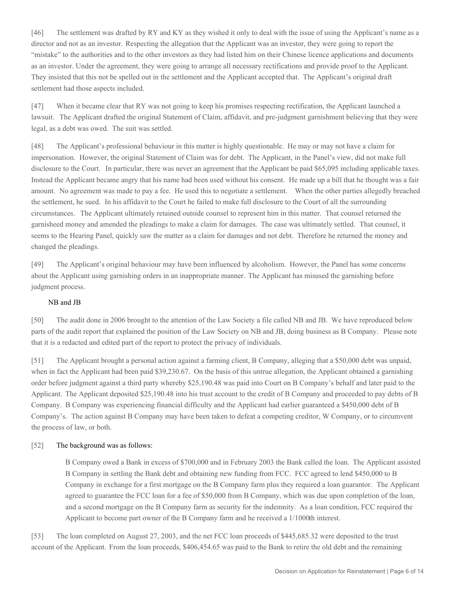[46] The settlement was drafted by RY and KY as they wished it only to deal with the issue of using the Applicant's name as a director and not as an investor. Respecting the allegation that the Applicant was an investor, they were going to report the "mistake" to the authorities and to the other investors as they had listed him on their Chinese licence applications and documents as an investor. Under the agreement, they were going to arrange all necessary rectifications and provide proof to the Applicant. They insisted that this not be spelled out in the settlement and the Applicant accepted that. The Applicant's original draft settlement had those aspects included.

[47] When it became clear that RY was not going to keep his promises respecting rectification, the Applicant launched a lawsuit. The Applicant drafted the original Statement of Claim, affidavit, and pre-judgment garnishment believing that they were legal, as a debt was owed. The suit was settled.

[48] The Applicant's professional behaviour in this matter is highly questionable. He may or may not have a claim for impersonation. However, the original Statement of Claim was for debt. The Applicant, in the Panel's view, did not make full disclosure to the Court. In particular, there was never an agreement that the Applicant be paid \$65,095 including applicable taxes. Instead the Applicant became angry that his name had been used without his consent. He made up a bill that he thought was a fair amount. No agreement was made to pay a fee. He used this to negotiate a settlement. When the other parties allegedly breached the settlement, he sued. In his affidavit to the Court he failed to make full disclosure to the Court of all the surrounding circumstances. The Applicant ultimately retained outside counsel to represent him in this matter. That counsel returned the garnisheed money and amended the pleadings to make a claim for damages. The case was ultimately settled. That counsel, it seems to the Hearing Panel, quickly saw the matter as a claim for damages and not debt. Therefore he returned the money and changed the pleadings.

[49] The Applicant's original behaviour may have been influenced by alcoholism. However, the Panel has some concerns about the Applicant using garnishing orders in an inappropriate manner. The Applicant has misused the garnishing before judgment process.

#### NB and JB

[50] The audit done in 2006 brought to the attention of the Law Society a file called NB and JB. We have reproduced below parts of the audit report that explained the position of the Law Society on NB and JB, doing business as B Company. Please note that it is a redacted and edited part of the report to protect the privacy of individuals.

[51] The Applicant brought a personal action against a farming client, B Company, alleging that a \$50,000 debt was unpaid, when in fact the Applicant had been paid \$39,230.67. On the basis of this untrue allegation, the Applicant obtained a garnishing order before judgment against a third party whereby \$25,190.48 was paid into Court on B Company's behalf and later paid to the Applicant. The Applicant deposited \$25,190.48 into his trust account to the credit of B Company and proceeded to pay debts of B Company. B Company was experiencing financial difficulty and the Applicant had earlier guaranteed a \$450,000 debt of B Company's. The action against B Company may have been taken to defeat a competing creditor, W Company, or to circumvent the process of law, or both.

#### [52] The background was as follows:

B Company owed a Bank in excess of \$700,000 and in February 2003 the Bank called the loan. The Applicant assisted B Company in settling the Bank debt and obtaining new funding from FCC. FCC agreed to lend \$450,000 to B Company in exchange for a first mortgage on the B Company farm plus they required a loan guarantor. The Applicant agreed to guarantee the FCC loan for a fee of \$50,000 from B Company, which was due upon completion of the loan, and a second mortgage on the B Company farm as security for the indemnity. As a loan condition, FCC required the Applicant to become part owner of the B Company farm and he received a 1/1000th interest.

[53] The loan completed on August 27, 2003, and the net FCC loan proceeds of \$445,685.32 were deposited to the trust account of the Applicant. From the loan proceeds, \$406,454.65 was paid to the Bank to retire the old debt and the remaining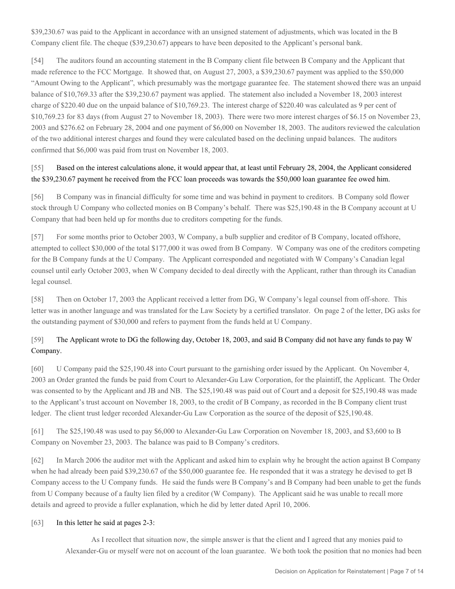\$39,230.67 was paid to the Applicant in accordance with an unsigned statement of adjustments, which was located in the B Company client file. The cheque (\$39,230.67) appears to have been deposited to the Applicant's personal bank.

[54] The auditors found an accounting statement in the B Company client file between B Company and the Applicant that made reference to the FCC Mortgage. It showed that, on August 27, 2003, a \$39,230.67 payment was applied to the \$50,000 "Amount Owing to the Applicant", which presumably was the mortgage guarantee fee. The statement showed there was an unpaid balance of \$10,769.33 after the \$39,230.67 payment was applied. The statement also included a November 18, 2003 interest charge of \$220.40 due on the unpaid balance of \$10,769.23. The interest charge of \$220.40 was calculated as 9 per cent of \$10,769.23 for 83 days (from August 27 to November 18, 2003). There were two more interest charges of \$6.15 on November 23, 2003 and \$276.62 on February 28, 2004 and one payment of \$6,000 on November 18, 2003. The auditors reviewed the calculation of the two additional interest charges and found they were calculated based on the declining unpaid balances. The auditors confirmed that \$6,000 was paid from trust on November 18, 2003.

# [55] Based on the interest calculations alone, it would appear that, at least until February 28, 2004, the Applicant considered the \$39,230.67 payment he received from the FCC loan proceeds was towards the \$50,000 loan guarantee fee owed him.

[56] B Company was in financial difficulty for some time and was behind in payment to creditors. B Company sold flower stock through U Company who collected monies on B Company's behalf. There was \$25,190.48 in the B Company account at U Company that had been held up for months due to creditors competing for the funds.

[57] For some months prior to October 2003, W Company, a bulb supplier and creditor of B Company, located offshore, attempted to collect \$30,000 of the total \$177,000 it was owed from B Company. W Company was one of the creditors competing for the B Company funds at the U Company. The Applicant corresponded and negotiated with W Company's Canadian legal counsel until early October 2003, when W Company decided to deal directly with the Applicant, rather than through its Canadian legal counsel.

[58] Then on October 17, 2003 the Applicant received a letter from DG, W Company's legal counsel from off-shore. This letter was in another language and was translated for the Law Society by a certified translator. On page 2 of the letter, DG asks for the outstanding payment of \$30,000 and refers to payment from the funds held at U Company.

# [59] The Applicant wrote to DG the following day, October 18, 2003, and said B Company did not have any funds to pay W Company.

[60] U Company paid the \$25,190.48 into Court pursuant to the garnishing order issued by the Applicant. On November 4, 2003 an Order granted the funds be paid from Court to Alexander-Gu Law Corporation, for the plaintiff, the Applicant. The Order was consented to by the Applicant and JB and NB. The \$25,190.48 was paid out of Court and a deposit for \$25,190.48 was made to the Applicant's trust account on November 18, 2003, to the credit of B Company, as recorded in the B Company client trust ledger. The client trust ledger recorded Alexander-Gu Law Corporation as the source of the deposit of \$25,190.48.

[61] The \$25,190.48 was used to pay \$6,000 to Alexander-Gu Law Corporation on November 18, 2003, and \$3,600 to B Company on November 23, 2003. The balance was paid to B Company's creditors.

[62] In March 2006 the auditor met with the Applicant and asked him to explain why he brought the action against B Company when he had already been paid \$39,230.67 of the \$50,000 guarantee fee. He responded that it was a strategy he devised to get B Company access to the U Company funds. He said the funds were B Company's and B Company had been unable to get the funds from U Company because of a faulty lien filed by a creditor (W Company). The Applicant said he was unable to recall more details and agreed to provide a fuller explanation, which he did by letter dated April 10, 2006.

# [63] In this letter he said at pages 2-3:

 As I recollect that situation now, the simple answer is that the client and I agreed that any monies paid to Alexander-Gu or myself were not on account of the loan guarantee. We both took the position that no monies had been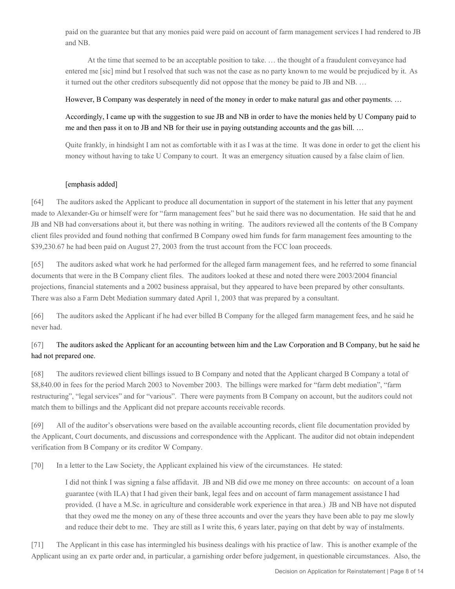paid on the guarantee but that any monies paid were paid on account of farm management services I had rendered to JB and NB.

 At the time that seemed to be an acceptable position to take. … the thought of a fraudulent conveyance had entered me [sic] mind but I resolved that such was not the case as no party known to me would be prejudiced by it. As it turned out the other creditors subsequently did not oppose that the money be paid to JB and NB. …

#### However, B Company was desperately in need of the money in order to make natural gas and other payments. …

Accordingly, I came up with the suggestion to sue JB and NB in order to have the monies held by U Company paid to me and then pass it on to JB and NB for their use in paying outstanding accounts and the gas bill. …

Quite frankly, in hindsight I am not as comfortable with it as I was at the time. It was done in order to get the client his money without having to take U Company to court. It was an emergency situation caused by a false claim of lien.

#### [emphasis added]

[64] The auditors asked the Applicant to produce all documentation in support of the statement in his letter that any payment made to Alexander-Gu or himself were for "farm management fees" but he said there was no documentation. He said that he and JB and NB had conversations about it, but there was nothing in writing. The auditors reviewed all the contents of the B Company client files provided and found nothing that confirmed B Company owed him funds for farm management fees amounting to the \$39,230.67 he had been paid on August 27, 2003 from the trust account from the FCC loan proceeds.

[65] The auditors asked what work he had performed for the alleged farm management fees, and he referred to some financial documents that were in the B Company client files. The auditors looked at these and noted there were 2003/2004 financial projections, financial statements and a 2002 business appraisal, but they appeared to have been prepared by other consultants. There was also a Farm Debt Mediation summary dated April 1, 2003 that was prepared by a consultant.

[66] The auditors asked the Applicant if he had ever billed B Company for the alleged farm management fees, and he said he never had.

# [67] The auditors asked the Applicant for an accounting between him and the Law Corporation and B Company, but he said he had not prepared one.

[68] The auditors reviewed client billings issued to B Company and noted that the Applicant charged B Company a total of \$8,840.00 in fees for the period March 2003 to November 2003. The billings were marked for "farm debt mediation", "farm restructuring", "legal services" and for "various". There were payments from B Company on account, but the auditors could not match them to billings and the Applicant did not prepare accounts receivable records.

[69] All of the auditor's observations were based on the available accounting records, client file documentation provided by the Applicant, Court documents, and discussions and correspondence with the Applicant. The auditor did not obtain independent verification from B Company or its creditor W Company.

[70] In a letter to the Law Society, the Applicant explained his view of the circumstances. He stated:

I did not think I was signing a false affidavit. JB and NB did owe me money on three accounts: on account of a loan guarantee (with ILA) that I had given their bank, legal fees and on account of farm management assistance I had provided. (I have a M.Sc. in agriculture and considerable work experience in that area.) JB and NB have not disputed that they owed me the money on any of these three accounts and over the years they have been able to pay me slowly and reduce their debt to me. They are still as I write this, 6 years later, paying on that debt by way of instalments.

[71] The Applicant in this case has intermingled his business dealings with his practice of law. This is another example of the Applicant using an ex parte order and, in particular, a garnishing order before judgement, in questionable circumstances. Also, the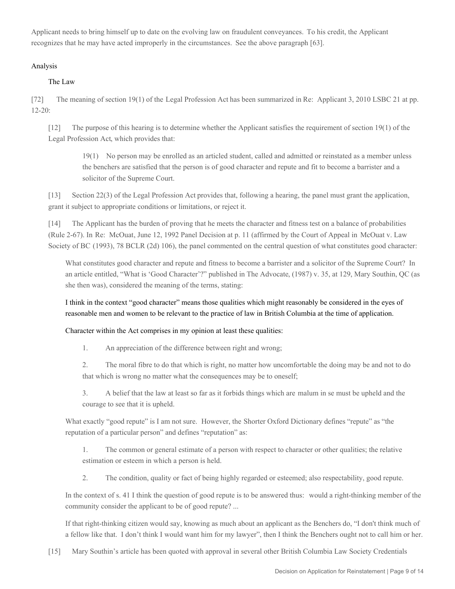Applicant needs to bring himself up to date on the evolving law on fraudulent conveyances. To his credit, the Applicant recognizes that he may have acted improperly in the circumstances. See the above paragraph [63].

# Analysis

# The Law

[72] The meaning of section 19(1) of the Legal Profession Act has been summarized in Re: Applicant 3, 2010 LSBC 21 at pp. 12-20:

[12] The purpose of this hearing is to determine whether the Applicant satisfies the requirement of section 19(1) of the Legal Profession Act, which provides that:

19(1) No person may be enrolled as an articled student, called and admitted or reinstated as a member unless the benchers are satisfied that the person is of good character and repute and fit to become a barrister and a solicitor of the Supreme Court.

[13] Section 22(3) of the Legal Profession Act provides that, following a hearing, the panel must grant the application, grant it subject to appropriate conditions or limitations, or reject it.

[14] The Applicant has the burden of proving that he meets the character and fitness test on a balance of probabilities (Rule 2-67). In Re: McOuat, June 12, 1992 Panel Decision at p. 11 (affirmed by the Court of Appeal in McOuat v. Law Society of BC (1993), 78 BCLR (2d) 106), the panel commented on the central question of what constitutes good character:

What constitutes good character and repute and fitness to become a barrister and a solicitor of the Supreme Court? In an article entitled, "What is 'Good Character'?" published in The Advocate, (1987) v. 35, at 129, Mary Southin, QC (as she then was), considered the meaning of the terms, stating:

I think in the context "good character" means those qualities which might reasonably be considered in the eyes of reasonable men and women to be relevant to the practice of law in British Columbia at the time of application.

Character within the Act comprises in my opinion at least these qualities:

1. An appreciation of the difference between right and wrong;

2. The moral fibre to do that which is right, no matter how uncomfortable the doing may be and not to do that which is wrong no matter what the consequences may be to oneself;

3. A belief that the law at least so far as it forbids things which are malum in se must be upheld and the courage to see that it is upheld.

What exactly "good repute" is I am not sure. However, the Shorter Oxford Dictionary defines "repute" as "the reputation of a particular person" and defines "reputation" as:

1. The common or general estimate of a person with respect to character or other qualities; the relative estimation or esteem in which a person is held.

2. The condition, quality or fact of being highly regarded or esteemed; also respectability, good repute.

In the context of s. 41 I think the question of good repute is to be answered thus: would a right-thinking member of the community consider the applicant to be of good repute? ...

If that right-thinking citizen would say, knowing as much about an applicant as the Benchers do, "I don't think much of a fellow like that. I don't think I would want him for my lawyer", then I think the Benchers ought not to call him or her.

[15] Mary Southin's article has been quoted with approval in several other British Columbia Law Society Credentials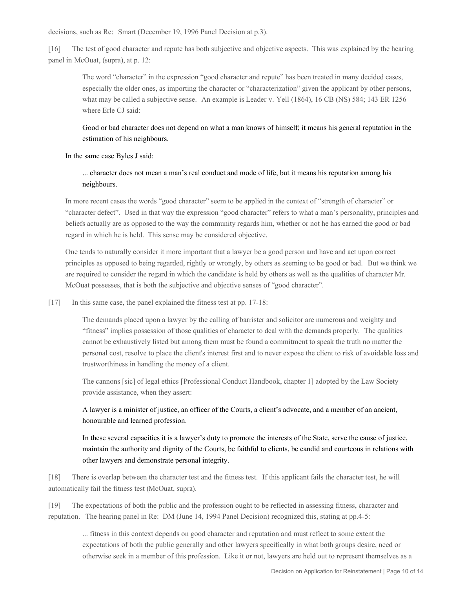decisions, such as Re: Smart (December 19, 1996 Panel Decision at p.3).

[16] The test of good character and repute has both subjective and objective aspects. This was explained by the hearing panel in McOuat, (supra), at p. 12:

The word "character" in the expression "good character and repute" has been treated in many decided cases, especially the older ones, as importing the character or "characterization" given the applicant by other persons, what may be called a subjective sense. An example is Leader v. Yell (1864), 16 CB (NS) 584; 143 ER 1256 where Erle CJ said:

Good or bad character does not depend on what a man knows of himself; it means his general reputation in the estimation of his neighbours.

In the same case Byles J said:

... character does not mean a man's real conduct and mode of life, but it means his reputation among his neighbours.

In more recent cases the words "good character" seem to be applied in the context of "strength of character" or "character defect". Used in that way the expression "good character" refers to what a man's personality, principles and beliefs actually are as opposed to the way the community regards him, whether or not he has earned the good or bad regard in which he is held. This sense may be considered objective.

One tends to naturally consider it more important that a lawyer be a good person and have and act upon correct principles as opposed to being regarded, rightly or wrongly, by others as seeming to be good or bad. But we think we are required to consider the regard in which the candidate is held by others as well as the qualities of character Mr. McOuat possesses, that is both the subjective and objective senses of "good character".

[17] In this same case, the panel explained the fitness test at pp. 17-18:

The demands placed upon a lawyer by the calling of barrister and solicitor are numerous and weighty and "fitness" implies possession of those qualities of character to deal with the demands properly. The qualities cannot be exhaustively listed but among them must be found a commitment to speak the truth no matter the personal cost, resolve to place the client's interest first and to never expose the client to risk of avoidable loss and trustworthiness in handling the money of a client.

The cannons [sic] of legal ethics [Professional Conduct Handbook, chapter 1] adopted by the Law Society provide assistance, when they assert:

A lawyer is a minister of justice, an officer of the Courts, a client's advocate, and a member of an ancient, honourable and learned profession.

In these several capacities it is a lawyer's duty to promote the interests of the State, serve the cause of justice, maintain the authority and dignity of the Courts, be faithful to clients, be candid and courteous in relations with other lawyers and demonstrate personal integrity.

[18] There is overlap between the character test and the fitness test. If this applicant fails the character test, he will automatically fail the fitness test (McOuat, supra).

[19] The expectations of both the public and the profession ought to be reflected in assessing fitness, character and reputation. The hearing panel in Re: DM (June 14, 1994 Panel Decision) recognized this, stating at pp.4-5:

... fitness in this context depends on good character and reputation and must reflect to some extent the expectations of both the public generally and other lawyers specifically in what both groups desire, need or otherwise seek in a member of this profession. Like it or not, lawyers are held out to represent themselves as a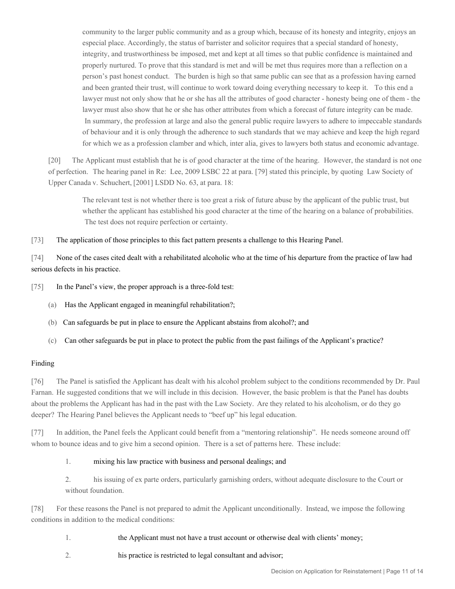community to the larger public community and as a group which, because of its honesty and integrity, enjoys an especial place. Accordingly, the status of barrister and solicitor requires that a special standard of honesty, integrity, and trustworthiness be imposed, met and kept at all times so that public confidence is maintained and properly nurtured. To prove that this standard is met and will be met thus requires more than a reflection on a person's past honest conduct. The burden is high so that same public can see that as a profession having earned and been granted their trust, will continue to work toward doing everything necessary to keep it. To this end a lawyer must not only show that he or she has all the attributes of good character - honesty being one of them - the lawyer must also show that he or she has other attributes from which a forecast of future integrity can be made. In summary, the profession at large and also the general public require lawyers to adhere to impeccable standards of behaviour and it is only through the adherence to such standards that we may achieve and keep the high regard for which we as a profession clamber and which, inter alia, gives to lawyers both status and economic advantage.

[20] The Applicant must establish that he is of good character at the time of the hearing. However, the standard is not one of perfection. The hearing panel in Re: Lee, 2009 LSBC 22 at para. [79] stated this principle, by quoting Law Society of Upper Canada v. Schuchert, [2001] LSDD No. 63, at para. 18:

The relevant test is not whether there is too great a risk of future abuse by the applicant of the public trust, but whether the applicant has established his good character at the time of the hearing on a balance of probabilities. The test does not require perfection or certainty.

[73] The application of those principles to this fact pattern presents a challenge to this Hearing Panel.

[74] None of the cases cited dealt with a rehabilitated alcoholic who at the time of his departure from the practice of law had serious defects in his practice.

[75] In the Panel's view, the proper approach is a three-fold test:

- (a) Has the Applicant engaged in meaningful rehabilitation?;
- (b) Can safeguards be put in place to ensure the Applicant abstains from alcohol?; and
- (c) Can other safeguards be put in place to protect the public from the past failings of the Applicant's practice?

# Finding

[76] The Panel is satisfied the Applicant has dealt with his alcohol problem subject to the conditions recommended by Dr. Paul Farnan. He suggested conditions that we will include in this decision. However, the basic problem is that the Panel has doubts about the problems the Applicant has had in the past with the Law Society. Are they related to his alcoholism, or do they go deeper? The Hearing Panel believes the Applicant needs to "beef up" his legal education.

[77] In addition, the Panel feels the Applicant could benefit from a "mentoring relationship". He needs someone around off whom to bounce ideas and to give him a second opinion. There is a set of patterns here. These include:

# 1. mixing his law practice with business and personal dealings; and

2. his issuing of ex parte orders, particularly garnishing orders, without adequate disclosure to the Court or without foundation.

[78] For these reasons the Panel is not prepared to admit the Applicant unconditionally. Instead, we impose the following conditions in addition to the medical conditions:

- 1. the Applicant must not have a trust account or otherwise deal with clients' money;
- 2. his practice is restricted to legal consultant and advisor;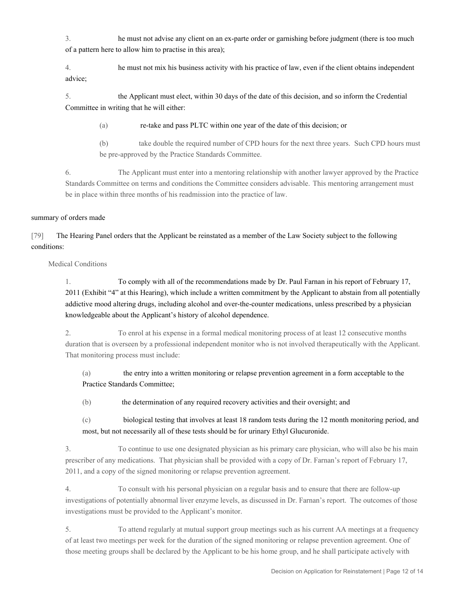3. he must not advise any client on an ex-parte order or garnishing before judgment (there is too much of a pattern here to allow him to practise in this area);

4. he must not mix his business activity with his practice of law, even if the client obtains independent advice;

5. the Applicant must elect, within 30 days of the date of this decision, and so inform the Credential Committee in writing that he will either:

(a) re-take and pass PLTC within one year of the date of this decision; or

(b) take double the required number of CPD hours for the next three years. Such CPD hours must be pre-approved by the Practice Standards Committee.

6. The Applicant must enter into a mentoring relationship with another lawyer approved by the Practice Standards Committee on terms and conditions the Committee considers advisable. This mentoring arrangement must be in place within three months of his readmission into the practice of law.

# summary of orders made

[79] The Hearing Panel orders that the Applicant be reinstated as a member of the Law Society subject to the following conditions:

Medical Conditions

1. To comply with all of the recommendations made by Dr. Paul Farnan in his report of February 17, 2011 (Exhibit "4" at this Hearing), which include a written commitment by the Applicant to abstain from all potentially addictive mood altering drugs, including alcohol and over-the-counter medications, unless prescribed by a physician knowledgeable about the Applicant's history of alcohol dependence.

2. To enrol at his expense in a formal medical monitoring process of at least 12 consecutive months duration that is overseen by a professional independent monitor who is not involved therapeutically with the Applicant. That monitoring process must include:

(a) the entry into a written monitoring or relapse prevention agreement in a form acceptable to the Practice Standards Committee;

(b) the determination of any required recovery activities and their oversight; and

(c) biological testing that involves at least 18 random tests during the 12 month monitoring period, and most, but not necessarily all of these tests should be for urinary Ethyl Glucuronide.

3. To continue to use one designated physician as his primary care physician, who will also be his main prescriber of any medications. That physician shall be provided with a copy of Dr. Farnan's report of February 17, 2011, and a copy of the signed monitoring or relapse prevention agreement.

4. To consult with his personal physician on a regular basis and to ensure that there are follow-up investigations of potentially abnormal liver enzyme levels, as discussed in Dr. Farnan's report. The outcomes of those investigations must be provided to the Applicant's monitor.

5. To attend regularly at mutual support group meetings such as his current AA meetings at a frequency of at least two meetings per week for the duration of the signed monitoring or relapse prevention agreement. One of those meeting groups shall be declared by the Applicant to be his home group, and he shall participate actively with